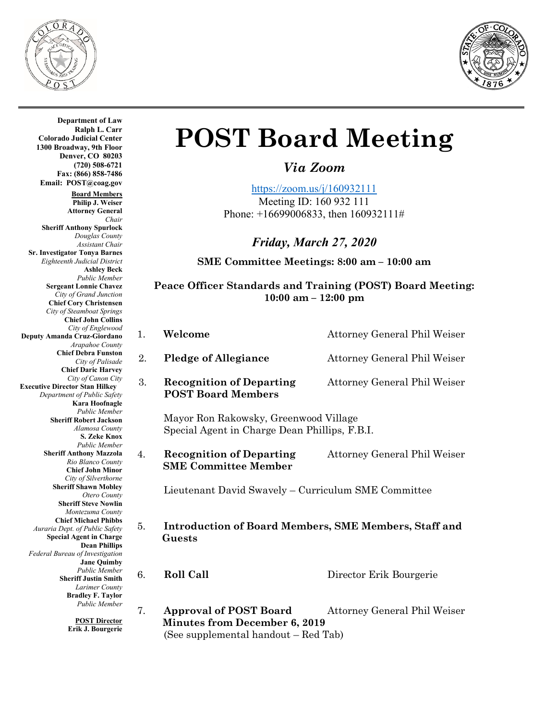



**Department of Law Ralph L. Carr Colorado Judicial Center 1300 Broadway, 9th Floor Denver, CO 80203 (720) 508-6721 Fax: (866) 858-7486 Email: POST@coag.gov Board Members Philip J. Weiser Attorney General** *Chair* **Sheriff Anthony Spurlock** *Douglas County Assistant Chair*  **Sr. Investigator Tonya Barnes** *Eighteenth Judicial District* **Ashley Beck** *Public Member* **Sergeant Lonnie Chavez** *City of Grand Junction* **Chief Cory Christensen** *City of Steamboat Springs* **Chief John Collins** *City of Englewood* **Deputy Amanda Cruz-Giordano** *Arapahoe County* **Chief Debra Funston** *City of Palisade* **Chief Daric Harvey** *City of Canon City* **Executive Director Stan Hilkey** *Department of Public Safety* **Kara Hoofnagle** *Public Member* **Sheriff Robert Jackson** *Alamosa County* **S. Zeke Knox** *Public Member* **Sheriff Anthony Mazzola** *Rio Blanco County* **Chief John Minor** *City of Silverthorne* **Sheriff Shawn Mobley** *Otero County* **Sheriff Steve Nowlin** *Montezuma County* **Chief Michael Phibbs** *Auraria Dept. of Public Safety* **Special Agent in Charge Dean Phillips** *Federal Bureau of Investigation* **Jane Quimby** *Public Member* **Sheriff Justin Smith** *Larimer County* **Bradley F. Taylor** *Public Member*

**POST Director Erik J. Bourgerie**

# **POST Board Meeting**

*Via Zoom*

<https://zoom.us/j/160932111>

Meeting ID: 160 932 111 Phone: +16699006833, then 160932111#

# *Friday, March 27, 2020*

**SME Committee Meetings: 8:00 am – 10:00 am**

## **Peace Officer Standards and Training (POST) Board Meeting: 10:00 am – 12:00 pm**

| 1. | Welcome                                                                                | Attorney General Phil Weiser        |  |
|----|----------------------------------------------------------------------------------------|-------------------------------------|--|
| 2. | <b>Pledge of Allegiance</b>                                                            | Attorney General Phil Weiser        |  |
| 3. | <b>Recognition of Departing</b><br><b>POST Board Members</b>                           | Attorney General Phil Weiser        |  |
|    | Mayor Ron Rakowsky, Greenwood Village<br>Special Agent in Charge Dean Phillips, F.B.I. |                                     |  |
| 4. | <b>Recognition of Departing</b><br><b>SME Committee Member</b>                         | <b>Attorney General Phil Weiser</b> |  |
|    | Lieutenant David Swavely – Curriculum SME Committee                                    |                                     |  |
| 5. | <b>Introduction of Board Members, SME Members, Staff and</b><br>Guests                 |                                     |  |

6. **Roll Call** Director Erik Bourgerie

7. **Approval of POST Board** Attorney General Phil Weiser  **Minutes from December 6, 2019** (See supplemental handout – Red Tab)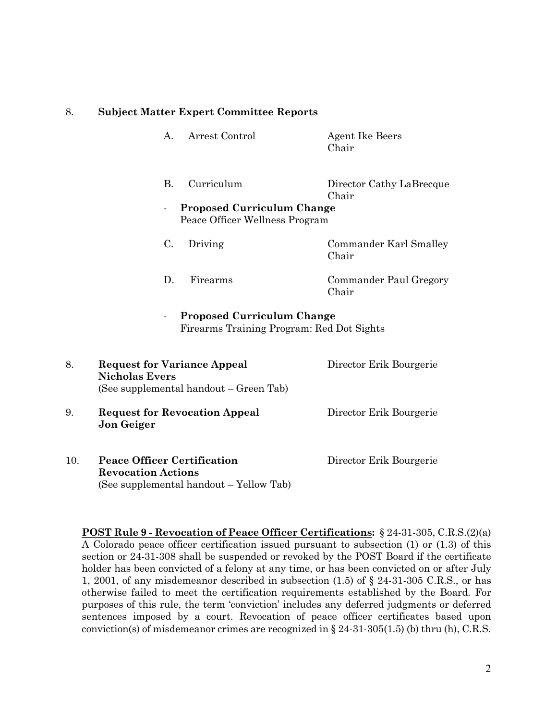#### 8. **Subject Matter Expert Committee Reports**

A. Arrest Control Agent Ike Beers Chair B. Curriculum Director Cathy LaBrecque Chair - **Proposed Curriculum Change** Peace Officer Wellness Program C. Driving Commander Karl Smalley Chair D. Firearms Commander Paul Gregory Chair - **Proposed Curriculum Change** Firearms Training Program: Red Dot Sights 8. **Request for Variance Appeal** Director Erik Bourgerie **Nicholas Evers** (See supplemental handout – Green Tab) 9. **Request for Revocation Appeal** Director Erik Bourgerie **Jon Geiger** 10. **Peace Officer Certification** Director Erik Bourgerie **Revocation Actions**  (See supplemental handout – Yellow Tab)

**POST Rule 9 - Revocation of Peace Officer Certifications:** § 24-31-305, C.R.S.(2)(a) A Colorado peace officer certification issued pursuant to subsection (1) or (1.3) of this section or 24-31-308 shall be suspended or revoked by the POST Board if the certificate holder has been convicted of a felony at any time, or has been convicted on or after July 1, 2001, of any misdemeanor described in subsection (1.5) of § 24-31-305 C.R.S., or has otherwise failed to meet the certification requirements established by the Board. For purposes of this rule, the term 'conviction' includes any deferred judgments or deferred sentences imposed by a court. Revocation of peace officer certificates based upon conviction(s) of misdemeanor crimes are recognized in  $\S 24-31-305(1.5)$  (b) thru (h), C.R.S.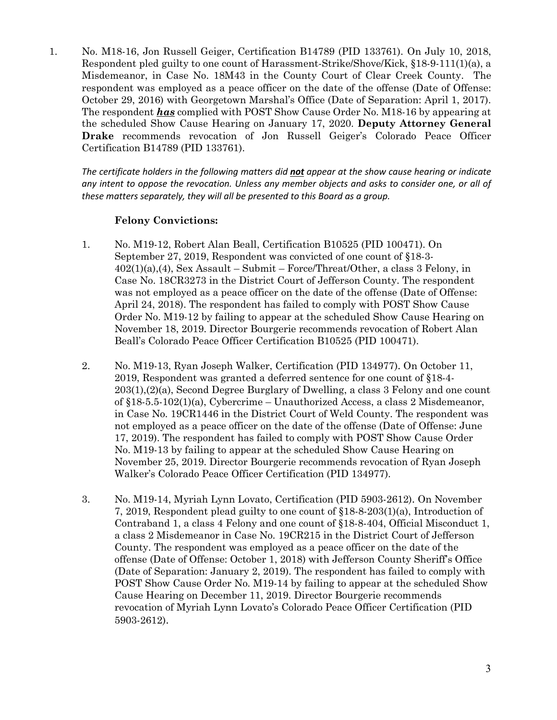1. No. M18-16, Jon Russell Geiger, Certification B14789 (PID 133761). On July 10, 2018, Respondent pled guilty to one count of Harassment-Strike/Shove/Kick, §18-9-111(1)(a), a Misdemeanor, in Case No. 18M43 in the County Court of Clear Creek County. The respondent was employed as a peace officer on the date of the offense (Date of Offense: October 29, 2016) with Georgetown Marshal's Office (Date of Separation: April 1, 2017). The respondent *has* complied with POST Show Cause Order No. M18-16 by appearing at the scheduled Show Cause Hearing on January 17, 2020. **Deputy Attorney General Drake** recommends revocation of Jon Russell Geiger's Colorado Peace Officer Certification B14789 (PID 133761).

*The certificate holders in the following matters did not appear at the show cause hearing or indicate any intent to oppose the revocation. Unless any member objects and asks to consider one, or all of these matters separately, they will all be presented to this Board as a group.*

### **Felony Convictions:**

- 1. No. M19-12, Robert Alan Beall, Certification B10525 (PID 100471). On September 27, 2019, Respondent was convicted of one count of §18-3- 402(1)(a),(4), Sex Assault – Submit – Force/Threat/Other, a class 3 Felony, in Case No. 18CR3273 in the District Court of Jefferson County. The respondent was not employed as a peace officer on the date of the offense (Date of Offense: April 24, 2018). The respondent has failed to comply with POST Show Cause Order No. M19-12 by failing to appear at the scheduled Show Cause Hearing on November 18, 2019. Director Bourgerie recommends revocation of Robert Alan Beall's Colorado Peace Officer Certification B10525 (PID 100471).
- 2. No. M19-13, Ryan Joseph Walker, Certification (PID 134977). On October 11, 2019, Respondent was granted a deferred sentence for one count of §18-4- 203(1),(2)(a), Second Degree Burglary of Dwelling, a class 3 Felony and one count of §18-5.5-102(1)(a), Cybercrime – Unauthorized Access, a class 2 Misdemeanor, in Case No. 19CR1446 in the District Court of Weld County. The respondent was not employed as a peace officer on the date of the offense (Date of Offense: June 17, 2019). The respondent has failed to comply with POST Show Cause Order No. M19-13 by failing to appear at the scheduled Show Cause Hearing on November 25, 2019. Director Bourgerie recommends revocation of Ryan Joseph Walker's Colorado Peace Officer Certification (PID 134977).
- 3. No. M19-14, Myriah Lynn Lovato, Certification (PID 5903-2612). On November 7, 2019, Respondent plead guilty to one count of §18-8-203(1)(a), Introduction of Contraband 1, a class 4 Felony and one count of §18-8-404, Official Misconduct 1, a class 2 Misdemeanor in Case No. 19CR215 in the District Court of Jefferson County. The respondent was employed as a peace officer on the date of the offense (Date of Offense: October 1, 2018) with Jefferson County Sheriff's Office (Date of Separation: January 2, 2019). The respondent has failed to comply with POST Show Cause Order No. M19-14 by failing to appear at the scheduled Show Cause Hearing on December 11, 2019. Director Bourgerie recommends revocation of Myriah Lynn Lovato's Colorado Peace Officer Certification (PID 5903-2612).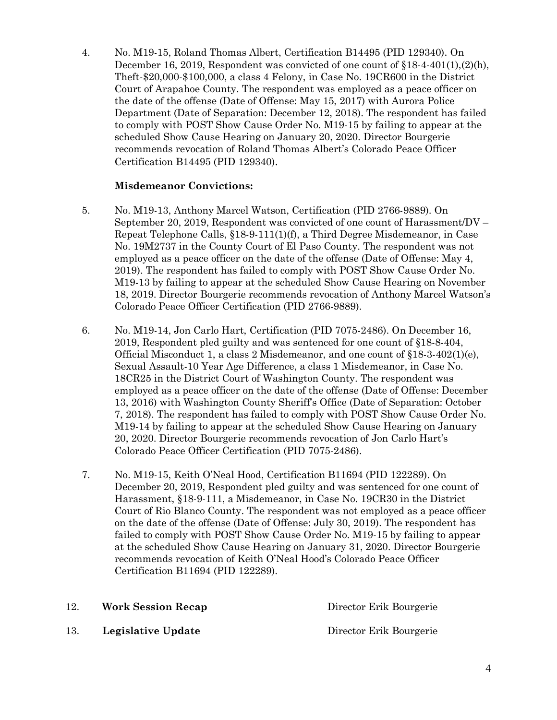4. No. M19-15, Roland Thomas Albert, Certification B14495 (PID 129340). On December 16, 2019, Respondent was convicted of one count of §18-4-401(1),(2)(h), Theft-\$20,000-\$100,000, a class 4 Felony, in Case No. 19CR600 in the District Court of Arapahoe County. The respondent was employed as a peace officer on the date of the offense (Date of Offense: May 15, 2017) with Aurora Police Department (Date of Separation: December 12, 2018). The respondent has failed to comply with POST Show Cause Order No. M19-15 by failing to appear at the scheduled Show Cause Hearing on January 20, 2020. Director Bourgerie recommends revocation of Roland Thomas Albert's Colorado Peace Officer Certification B14495 (PID 129340).

#### **Misdemeanor Convictions:**

- 5. No. M19-13, Anthony Marcel Watson, Certification (PID 2766-9889). On September 20, 2019, Respondent was convicted of one count of Harassment/DV – Repeat Telephone Calls, §18-9-111(1)(f), a Third Degree Misdemeanor, in Case No. 19M2737 in the County Court of El Paso County. The respondent was not employed as a peace officer on the date of the offense (Date of Offense: May 4, 2019). The respondent has failed to comply with POST Show Cause Order No. M19-13 by failing to appear at the scheduled Show Cause Hearing on November 18, 2019. Director Bourgerie recommends revocation of Anthony Marcel Watson's Colorado Peace Officer Certification (PID 2766-9889).
- 6. No. M19-14, Jon Carlo Hart, Certification (PID 7075-2486). On December 16, 2019, Respondent pled guilty and was sentenced for one count of §18-8-404, Official Misconduct 1, a class 2 Misdemeanor, and one count of §18-3-402(1)(e), Sexual Assault-10 Year Age Difference, a class 1 Misdemeanor, in Case No. 18CR25 in the District Court of Washington County. The respondent was employed as a peace officer on the date of the offense (Date of Offense: December 13, 2016) with Washington County Sheriff's Office (Date of Separation: October 7, 2018). The respondent has failed to comply with POST Show Cause Order No. M19-14 by failing to appear at the scheduled Show Cause Hearing on January 20, 2020. Director Bourgerie recommends revocation of Jon Carlo Hart's Colorado Peace Officer Certification (PID 7075-2486).
- 7. No. M19-15, Keith O'Neal Hood, Certification B11694 (PID 122289). On December 20, 2019, Respondent pled guilty and was sentenced for one count of Harassment, §18-9-111, a Misdemeanor, in Case No. 19CR30 in the District Court of Rio Blanco County. The respondent was not employed as a peace officer on the date of the offense (Date of Offense: July 30, 2019). The respondent has failed to comply with POST Show Cause Order No. M19-15 by failing to appear at the scheduled Show Cause Hearing on January 31, 2020. Director Bourgerie recommends revocation of Keith O'Neal Hood's Colorado Peace Officer Certification B11694 (PID 122289).

| 12. | <b>Work Session Recap</b> | Director Erik Bourgerie |
|-----|---------------------------|-------------------------|
| 13. | Legislative Update        | Director Erik Bourgerie |